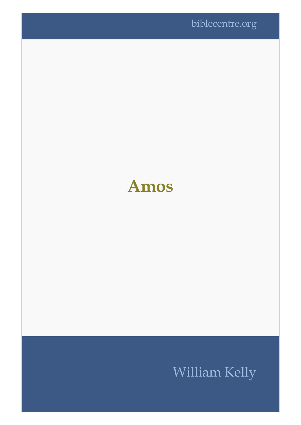

## **Amos**

## William Kelly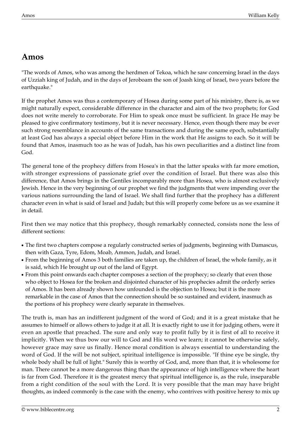## **Amos**

"The words of Amos, who was among the herdmen of Tekoa, which he saw concerning Israel in the days of Uzziah king of Judah, and in the days of Jeroboam the son of Joash king of Israel, two years before the earthquake."

If the prophet Amos was thus a contemporary of Hosea during some part of his ministry, there is, as we might naturally expect, considerable difference in the character and aim of the two prophets; for God does not write merely to corroborate. For Him to speak once must be sufficient. In grace He may be pleased to give confirmatory testimony, but it is never necessary. Hence, even though there may be ever such strong resemblance in accounts of the same transactions and during the same epoch, substantially at least God has always a special object before Him in the work that He assigns to each. So it will be found that Amos, inasmuch too as he was of Judah, has his own peculiarities and a distinct line from God.

The general tone of the prophecy differs from Hosea's in that the latter speaks with far more emotion, with stronger expressions of passionate grief over the condition of Israel. But there was also this difference, that Amos brings in the Gentiles incomparably more than Hosea, who is almost exclusively Jewish. Hence in the very beginning of our prophet we find the judgments that were impending over the various nations surrounding the land of Israel. We shall find further that the prophecy has a different character even in what is said of Israel and Judah; but this will properly come before us as we examine it in detail.

First then we may notice that this prophecy, though remarkably connected, consists none the less of different sections:

- The first two chapters compose a regularly constructed series of judgments, beginning with Damascus, then with Gaza, Tyre, Edom, Moab, Ammon, Judah, and Israel.
- From the beginning of Amos 3 both families are taken up, the children of Israel, the whole family, as it is said, which He brought up out of the land of Egypt.
- From this point onwards each chapter composes a section of the prophecy; so clearly that even those who object to Hosea for the broken and disjointed character of his prophecies admit the orderly series of Amos. It has been already shown how unfounded is the objection to Hosea; but it is the more remarkable in the case of Amos that the connection should be so sustained and evident, inasmuch as the portions of his prophecy were clearly separate in themselves.

The truth is, man has an indifferent judgment of the word of God; and it is a great mistake that he assumes to himself or allows others to judge it at all. It is exactly right to use it for judging others, were it even an apostle that preached. The sure and only way to profit fully by it is first of all to receive it implicitly. When we thus bow our will to God and His word we learn; it cannot be otherwise safely, however grace may save us finally. Hence moral condition is always essential to understanding the word of God. If the will be not subject, spiritual intelligence is impossible. "If thine eye be single, thy whole body shall be full of light." Surely this is worthy of God, and, more than that, it is wholesome for man. There cannot be a more dangerous thing than the appearance of high intelligence where the heart is far from God. Therefore it is the greatest mercy that spiritual intelligence is, as the rule, inseparable from a right condition of the soul with the Lord. It is very possible that the man may have bright thoughts, as indeed commonly is the case with the enemy, who contrives with positive heresy to mix up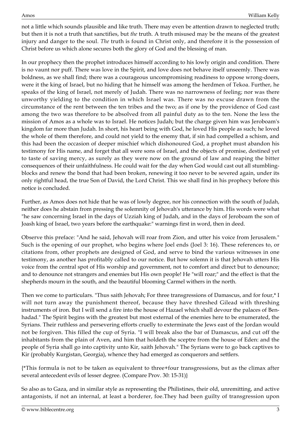not a little which sounds plausible and like truth. There may even be attention drawn to neglected truth; but then it is not a truth that sanctifies, but *the* truth. A truth misused may be the means of the greatest injury and danger to the soul. *The* truth is found in Christ only, and therefore it is the possession of Christ before us which alone secures both the glory of God and the blessing of man.

In our prophecy then the prophet introduces himself according to his lowly origin and condition. There is no vaunt nor puff. There was love in the Spirit, and love does not behave itself unseemly. There was boldness, as we shall find; there was a courageous uncompromising readiness to oppose wrong-doers, were it the king of Israel, but no hiding that he himself was among the herdmen of Tekoa. Further, he speaks of the king of Israel, not merely of Judah. There was no narrowness of feeling; nor was there unworthy yielding to the condition in which Israel was. There was no excuse drawn from the circumstance of the rent between the ten tribes and the two; as if one by the providence of God cast among the two was therefore to be absolved from all painful duty as to the ten. None the less the mission of Amos as a whole was to Israel. He notices Judah; but the charge given him was Jeroboam's kingdom far more than Judah. In short, his heart being with God, he loved His people as such; he loved the whole of them therefore, and could not yield to the enemy that, if sin had compelled a schism, and this had been the occasion of deeper mischief which dishonoured God, a prophet must abandon his testimony for His name, and forget that all were sons of Israel, and the objects of promise, destined yet to taste of saving mercy, as surely as they were now on the ground of law and reaping the bitter consequences of their unfaithfulness. He could wait for the day when God would cast out all stumblingblocks and renew the bond that had been broken, renewing it too never to be severed again, under its only rightful head, the true Son of David, the Lord Christ. This we shall find in his prophecy before this notice is concluded.

Further, as Amos does not hide that he was of lowly degree, nor his connection with the south of Judah, neither does he abstain from pressing the solemnity of Jehovah's utterance by him. His words were what "he saw concerning Israel in the days of Uzziah king of Judah, and in the days of Jeroboam the son of Joash king of Israel, two years before the earthquake:" warnings first in word, then in deed.

Observe this preface: "And he said, Jehovah will roar from Zion, and utter his voice from Jerusalem." Such is the opening of our prophet, who begins where Joel ends (Joel 3: 16). These references to, or citations from, other prophets are designed of God, and serve to bind the various witnesses in one testimony, as another has profitably called to our notice. But how solemn it is that Jehovah utters His voice from the central spot of His worship and government, not to comfort and direct but to denounce; and to denounce not strangers and enemies but His own people! He "will roar;" and the effect is that the shepherds mourn in the south, and the beautiful blooming Carmel withers in the north.

Then we come to particulars. "Thus saith Jehovah; For three transgressions of Damascus, and for four,\* I will not turn away the punishment thereof, because they have threshed Gilead with threshing instruments of iron. But I will send a fire into the house of Hazael which shall devour the palaces of Benhadad." The Spirit begins with the greatest but most external of the enemies here to be enumerated, the Syrians. Their ruthless and persevering efforts cruelly to exterminate the Jews east of the Jordan would not be forgiven. This filled the cup of Syria. "I will break also the bar of Damascus, and cut off the inhabitants from the plain of Aven, and him that holdeth the sceptre from the house of Eden: and the people of Syria shall go into captivity unto Kir, saith Jehovah." The Syrians were to go back captives to Kir (probably Kurgistan, Georgia), whence they had emerged as conquerors and settlers.

{\*This formula is not to be taken as equivalent to three+four transgressions, but as the climax after several antecedent evils of lesser degree. (Compare Prov. 30: 15-31)}

So also as to Gaza, and in similar style as representing the Philistines, their old, unremitting, and active antagonists, if not an internal, at least a borderer, foe.They had been guilty of transgression upon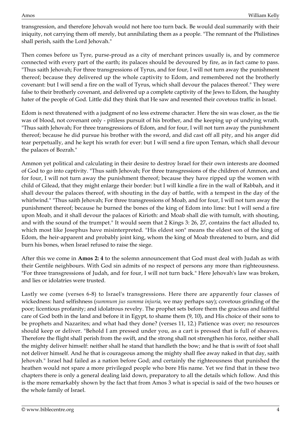transgression, and therefore Jehovah would not here too turn back. Be would deal summarily with their iniquity, not carrying them off merely, but annihilating them as a people. "The remnant of the Philistines shall perish, saith the Lord Jehovah."

Then comes before us Tyre, purse-proud as a city of merchant princes usually is, and by commerce connected with every part of the earth; its palaces should be devoured by fire, as in fact came to pass. "Thus saith Jehovah; For three transgressions of Tyrus, and for four, I will not turn away the punishment thereof; because they delivered up the whole captivity to Edom, and remembered not the brotherly covenant: but I will send a fire on the wall of Tyrus, which shall devour the palaces thereof." They were false to their brotherly covenant, and delivered up a complete captivity of the Jews to Edom, the haughty hater of the people of God. Little did they think that He saw and resented their covetous traffic in Israel.

Edom is next threatened with a judgment of no less extreme character. Here the sin was closer, as the tie was of blood, not covenant only - pitiless pursuit of his brother, and the keeping up of undying wrath. "Thus saith Jehovah; For three transgressions of Edom, and for four, I will not turn away the punishment thereof; because he did pursue his brother with the sword, and did cast off all pity, and his anger did tear perpetually, and he kept his wrath for ever: but I will send a fire upon Teman, which shall devour the palaces of Bozrah."

Ammon yet political and calculating in their desire to destroy Israel for their own interests are doomed of God to go into captivity. "Thus saith Jehovah; For three transgressions of the children of Ammon, and for four, I will not turn away the punishment thereof; because they have ripped up the women with child of Gilead, that they might enlarge their border: but I will kindle a fire in the wall of Rabbah, and it shall devour the palaces thereof, with shouting in the day of battle, with a tempest in the day of the whirlwind." "Thus saith Jehovah; For three transgressions of Moab, and for four, I will not turn away the punishment thereof; because he burned the bones of the king of Edom into lime: but I will send a fire upon Moab, and it shall devour the palaces of Kirioth: and Moab shall die with tumult, with shouting, and with the sound of the trumpet." It would seem that 2 Kings 3: 26, 27, contains the fact alluded to, which most like Josephus have misinterpreted. "His eldest son" means the eldest son of the king of Edom, the heir-apparent and probably joint king, whom the king of Moab threatened to burn, and did burn his bones, when Israel refused to raise the siege.

After this we come in **Amos 2: 4** to the solemn announcement that God must deal with Judah as with their Gentile neighbours. With God sin admits of no respect of persons any more than righteousness. "For three transgressions of Judah, and for four, I will not turn back." Here Jehovah's law was broken, and lies or idolatries were trusted.

Lastly we come (verses 6-8) to Israel's transgressions. Here there are apparently four classes of wickedness: hard selfishness (*summum jus summa injuria,* we may perhaps say); covetous grinding of the poor; licentious profanity; and idolatrous revelry. The prophet sets before them the gracious and faithful care of God both in the land and before it in Egypt, to shame them (9, 10), and His choice of their sons to be prophets and Nazarites; and what had they done? (verses 11, 12.) Patience was over; no resources should keep or deliver. "Behold I am pressed under you, as a cart is pressed that is full of sheaves. Therefore the flight shall perish from the swift, and the strong shall not strengthen his force, neither shall the mighty deliver himself: neither shall he stand that handleth the bow; and he that is swift of foot shall not deliver himself. And he that is courageous among the mighty shall flee away naked in that day, saith Jehovah." Israel had failed as a nation before God; and certainly the righteousness that punished the heathen would not spare a more privileged people who bore His name. Yet we find that in these two chapters there is only a general dealing laid down, preparatory to all the details which follow. And this is the more remarkably shown by the fact that from Amos 3 what is special is said of the two houses or the whole family of Israel.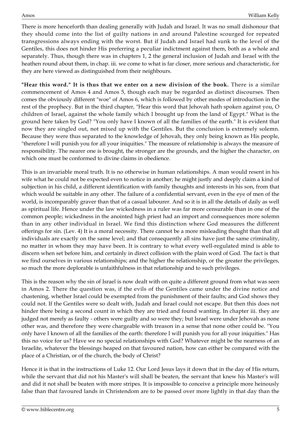There is more henceforth than dealing generally with Judah and Israel. It was no small dishonour that they should come into the list of guilty nations in and around Palestine scourged for repeated transgressions always ending with the worst. But if Judah and Israel had sunk to the level of the Gentiles, this does not hinder His preferring a peculiar indictment against them, both as a whole and separately. Thus, though there was in chapters 1, 2 the general inclusion of Judah and Israel with the heathen round about them, in chap. iii. we come to what is far closer, more serious and characteristic, for they are here viewed as distinguished from their neighbours.

**"Hear this word." It is thus that we enter on a new division of the book.** There is a similar commencement of Amos 4 and Amos 5, though each may be regarded as distinct discourses. Then comes the obviously different "woe" of Amos 6, which is followed by other modes of introduction in the rest of the prophecy. But in the third chapter, "Hear this word that Jehovah hath spoken against you, O children of Israel, against the whole family which I brought up from the land of Egypt." What is the ground here taken by God? "You only have I known of all the families of the earth." It is evident that now they are singled out, not mixed up with the Gentiles. But the conclusion is extremely solemn. Because they were thus separated to the knowledge of Jehovah, they only being known as His people, "therefore I will punish you for all your iniquities." The measure of relationship is always the measure of responsibility. The nearer one is brought, the stronger are the grounds, and the higher the character, on which one must be conformed to divine claims in obedience.

This is an invariable moral truth. It is no otherwise in human relationships. A man would resent in his wife what he could not be expected even to notice in another; he might justly and deeply claim a kind of subjection in his child, a different identification with family thoughts and interests in his son, from that which would be suitable in any other. The failure of a confidential servant, even in the eye of men of the world, is incomparably graver than that of a casual labourer. And so it is in all the details of daily as well as spiritual life. Hence under the law wickedness in a ruler was far more censurable than in one of the common people; wickedness in the anointed high priest had an import and consequences more solemn than in any other individual in Israel. We find this distinction where God measures the different offerings for sin. (Lev. 4) It is a moral necessity. There cannot be a more misleading thought than that all individuals are exactly on the same level; and that consequently all sins have just the same criminality, no matter in whom they may have been. It is contrary to what every well-regulated mind is able to discern when set before him, and certainly in direct collision with the plain word of God. The fact is that we find ourselves in various relationships; and the higher the relationship, or the greater the privileges, so much the more deplorable is unfaithfulness in that relationship and to such privileges.

This is the reason why the sin of Israel is now dealt with on quite a different ground from what was seen in Amos 2. There the question was, if the evils of the Gentiles came under the divine notice and chastening, whether Israel could be exempted from the punishment of their faults; and God shows they could not. If the Gentiles were so dealt with, Judah and Israel could not escape. But then this does not hinder there being a second count in which they are tried and found wanting. In chapter iii. they are judged not merely as faulty - others were guilty and so were they; but Israel were under Jehovah as none other was, and therefore they were chargeable with treason in a sense that none other could be. "You only have I known of all the families of the earth: therefore I will punish you for all your iniquities." Has this no voice for us? Have we no special relationships with God? Whatever might be the nearness of an Israelite, whatever the blessings heaped on that favoured nation, how can either be compared with the place of a Christian, or of the church, the body of Christ?

Hence it is that in the instructions of Luke 12. Our Lord Jesus lays it down that in the day of His return, while the servant that did not his Master's will shall be beaten, the servant that knew his Master's will and did it not shall be beaten with more stripes. It is impossible to conceive a principle more heinously false than that favoured lands in Christendom are to be passed over more lightly in that day than the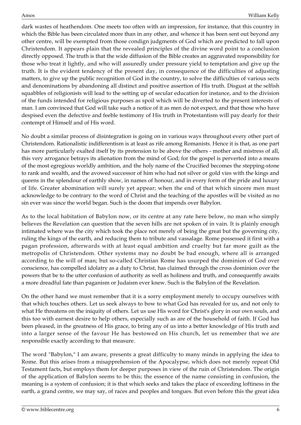dark wastes of heathendom. One meets too often with an impression, for instance, that this country in which the Bible has been circulated more than in any other, and whence it has been sent out beyond any other centre, will be exempted from those condign judgments of God which are predicted to fall upon Christendom. It appears plain that the revealed principles of the divine word point to a conclusion directly opposed. The truth is that the wide diffusion of the Bible creates an aggravated responsibility for those who treat it lightly, and who will assuredly under pressure yield to temptation and give up the truth. It is the evident tendency of the present day, in consequence of the difficulties of adjusting matters, to give up the public recognition of God in the country, to solve the difficulties of various sects and denominations by abandoning all distinct and positive assertion of His truth. Disgust at the selfish squabbles of religionists will lead to the setting up of secular education for instance, and to the division of the funds intended for religious purposes as spoil which will be diverted to the present interests of man. I am convinced that God will take such a notice of it as men do not expect, and that those who have despised even the defective and feeble testimony of His truth in Protestantism will pay dearly for their contempt of Himself and of His word.

No doubt a similar process of disintegration is going on in various ways throughout every other part of Christendom. Rationalistic indifferentism is at least as rife among Romanists. Hence it is that, as one part has more particularly exalted itself by its pretension to be above the others - mother and mistress of all, this very arrogance betrays its alienation from the mind of God; for the gospel is perverted into a means of the most egregious worldly ambition, and the holy name of the Crucified becomes the stepping-stone to rank and wealth, and the avowed successor of him who had not silver or gold vies with the kings and queens in the splendour of earthly show, in names of honour, and in every form of the pride and luxury of life. Greater abomination will surely yet appear; when the end of that which sincere men must acknowledge to be contrary to the word of Christ and the teaching of the apostles will be visited as no sin ever was since the world began. Such is the doom that impends over Babylon.

As to the local habitation of Babylon now, or its centre at any rate here below, no man who simply believes the Revelation can question that the seven hills are not spoken of in vain. It is plainly enough intimated where was the city which took the place not merely of being the great but the governing city, ruling the kings of the earth, and reducing them to tribute and vassalage. Rome possessed it first with a pagan profession, afterwards with at least equal ambition and cruelty but far more guilt as the metropolis of Christendom. Other systems may no doubt be bad enough, where all is arranged according to the will of man; but so-called Christian Rome has usurped the dominion of God over conscience, has compelled idolatry as a duty to Christ, has claimed through the cross dominion over the powers that be to the utter confusion of authority as well as holiness and truth, and consequently awaits a more dreadful fate than paganism or Judaism ever knew. Such is the Babylon of the Revelation.

On the other hand we must remember that it is a sorry employment merely to occupy ourselves with that which touches others. Let us seek always to bow to what God has revealed for us, and not only to what He threatens on the iniquity of others. Let us use His word for Christ's glory in our own souls, and this too with earnest desire to help others, especially such as are of the household of faith. If God has been pleased, in the greatness of His grace, to bring any of us into a better knowledge of His truth and into a larger sense of the favour He has bestowed on His church, let us remember that we are responsible exactly according to that measure.

The word "Babylon," I am aware, presents a great difficulty to many minds in applying the idea to Rome. But this arises from a misapprehension of the Apocalypse, which does not merely repeat Old Testament facts, but employs them for deeper purposes in view of the ruin of Christendom. The origin of the application of Babylon seems to be this; the essence of the name consisting in confusion, the meaning is a system of confusion; it is that which seeks and takes the place of exceeding loftiness in the earth, a grand centre, we may say, of races and peoples and tongues. But even before this the great idea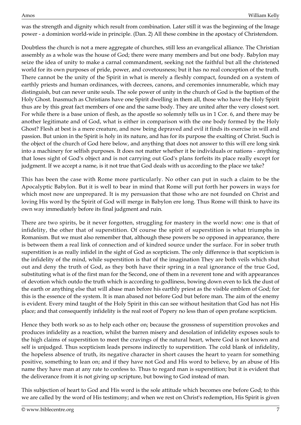was the strength and dignity which result from combination. Later still it was the beginning of the Image power - a dominion world-wide in principle. (Dan. 2) All these combine in the apostacy of Christendom.

Doubtless the church is not a mere aggregate of churches, still less an evangelical alliance. The Christian assembly as a whole was the house of God; there were many members and but one body. Babylon may seize the idea of unity to make a carnal commandment, seeking not the faithful but all the christened world for its own purposes of pride, power, and covetousness; but it has no real conception of the truth. There cannot be the unity of the Spirit in what is merely a fleshly compact, founded on a system of earthly priests and human ordinances, with decrees, canons, and ceremonies innumerable, which may distinguish, but can never unite souls. The sole power of unity in the church of God is the baptism of the Holy Ghost. Inasmuch as Christians have one Spirit dwelling in them all, those who have the Holy Spirit thus are by this great fact members of one and the same body. They are united after the very closest sort. For while there is a base union of flesh, as the apostle so solemnly tells us in 1 Cor. 6, and there may be another legitimate and of God, what is either in comparison with the one body formed by the Holy Ghost? Flesh at best is a mere creature, and now being depraved and evil it finds its exercise in will and passion. But union in the Spirit is holy in its nature, and has for its purpose the exalting of Christ. Such is the object of the church of God here below, and anything that does not answer to this will ere long sink into a machinery for selfish purposes. It does not matter whether it be individuals or nations - anything that loses sight of God's object and is not carrying out God's plans forfeits its place really except for judgment. If we accept a name, is it not true that God deals with us according to the place we take?

This has been the case with Rome more particularly. No other can put in such a claim to be the Apocalyptic Babylon. But it is well to bear in mind that Rome will put forth her powers in ways for which most now are unprepared. It is my persuasion that those who are not founded on Christ and loving His word by the Spirit of God will merge in Babylon ere long. Thus Rome will think to have its own way immediately before its final judgment and ruin.

There are two spirits, be it never forgotten, struggling for mastery in the world now: one is that of infidelity, the other that of superstition. Of course the spirit of superstition is what triumphs in Romanism. But we must also remember that, although these powers be so opposed in appearance, there is between them a real link of connection and of kindred source under the surface. For in sober truth superstition is as really infidel in the sight of God as scepticism. The only difference is that scepticism is the infidelity of the mind, while superstition is that of the imagination They are both veils which shut out and deny the truth of God, as they both have their spring in a real ignorance of the true God, substituting what is of the first man for the Second, one of them in a reverent tone and with appearances of devotion which outdo the truth which is according to godliness, bowing down even to lick the dust of the earth or anything else that will abase man before his earthly priest as the visible emblem of God; for this is the essence of the system. It is man abased not before God but before man. The aim of the enemy is evident. Every mind taught of the Holy Spirit in this can see without hesitation that God has not His place; and that consequently infidelity is the real root of Popery no less than of open profane scepticism.

Hence they both work so as to help each other on; because the grossness of superstition provokes and produces infidelity as a reaction, whilst the barren misery and desolation of infidelity exposes souls to the high claims of superstition to meet the cravings of the natural heart, where God is not known and self is unjudged. Thus scepticism leads persons indirectly to superstition. The cold blank of infidelity, the hopeless absence of truth, its negative character in short causes the heart to yearn for something positive, something to lean on; and if they have not God and His word to believe, by an abuse of His name they have man at any rate to confess to. Thus to regard man is superstition; but it is evident that the deliverance from it is not giving up scripture, but bowing to God instead of man.

This subjection of heart to God and His word is the sole attitude which becomes one before God; to this we are called by the word of His testimony; and when we rest on Christ's redemption, His Spirit is given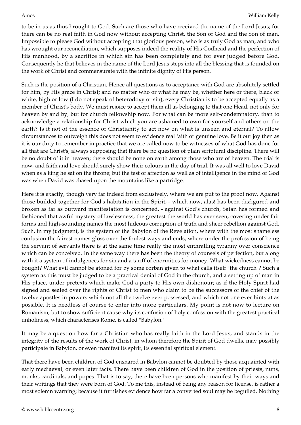to be in us as thus brought to God. Such are those who have received the name of the Lord Jesus; for there can be no real faith in God now without accepting Christ, the Son of God and the Son of man. Impossible to please God without accepting that glorious person, who is as truly God as man, and who has wrought our reconciliation, which supposes indeed the reality of His Godhead and the perfection of His manhood, by a sacrifice in which sin has been completely and for ever judged before God. Consequently he that believes in the name of the Lord Jesus steps into all the blessing that is founded on the work of Christ and commensurate with the infinite dignity of His person.

Such is the position of a Christian. Hence all questions as to acceptance with God are absolutely settled for him, by His grace in Christ; and no matter who or what he may be, whether here or there, black or white, high or low (I do not speak of heterodoxy or sin), every Christian is to be accepted equally as a member of Christ's body. We must rejoice to accept them all as belonging to that one Head, not only for heaven by and by, but for church fellowship now. For what can be more self-condemnatory. than to acknowledge a relationship for Christ which you are ashamed to own for yourself and others on the earth? Is it not of the essence of Christianity to act now on what is unseen and eternal? To allow circumstances to outweigh this does not seem to evidence real faith or genuine love. Be it our joy then as it is our duty to remember in practice that we are called now to be witnesses of what God has done for all that are Christ's, always supposing that there be no question of plain scriptural discipline. There will be no doubt of it in heaven; there should be none on earth among those who are of heaven. The trial is now, and faith and love should surely show their colours in the day of trial. It was all well to love David when as a king he sat on the throne; but the test of affection as well as of intelligence in the mind of God was when David was chased upon the mountains like a partridge.

Here it is exactly, though very far indeed from exclusively, where we are put to the proof now. Against those builded together for God's habitation in the Spirit, - which now, alas! has been disfigured and broken as far as outward manifestation is concerned, - against God's church, Satan has formed and fashioned that awful mystery of lawlessness, the greatest the world has ever seen, covering under fair forms and high-sounding names the most hideous corruption of truth and sheer rebellion against God. Such, in my judgment, is the system of the Babylon of the Revelation, where with the most shameless confusion the fairest names gloss over the foulest ways and ends, where under the profession of being the servant of servants there is at the same time really the most enthralling tyranny over conscience which can be conceived. In the same way there has been the theory of counsels of perfection, but along with it a system of indulgences for sin and a tariff of enormities for money. What wickedness cannot be bought? What evil cannot be atoned for by some corban given to what calls itself "the church"? Such a system as this must be judged to be a practical denial of God in the church, and a setting up of man in His place, under pretexts which make God a party to His own dishonour; as if the Holy Spirit had signed and sealed over the rights of Christ to men who claim to be the successors of the chief of the twelve apostles in powers which not all the twelve ever possessed, and which not one ever hints at as possible. It is needless of course to enter into more particulars. My point is not now to lecture on Romanism, but to show sufficient cause why its confusion of holy confession with the greatest practical unholiness, which characterises Rome, is called "Babylon."

It may be a question how far a Christian who has really faith in the Lord Jesus, and stands in the integrity of the results of the work of Christ, in whom therefore the Spirit of God dwells, may possibly participate in Babylon, or even manifest its spirit, its essential spiritual element.

That there have been children of God ensnared in Babylon cannot be doubted by those acquainted with early mediaeval, or even later facts. There have been children of God in the position of priests, nuns, monks, cardinals, and popes. That is to say, there have been persons who manifest by their ways and their writings that they were born of God. To me this, instead of being any reason for license, is rather a most solemn warning; because it furnishes evidence how far a converted soul may be beguiled. Nothing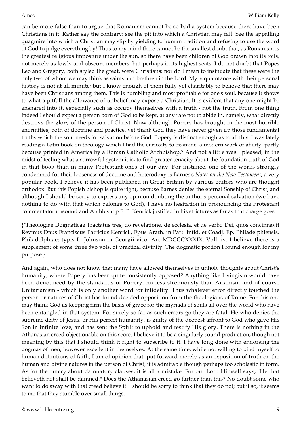can be more false than to argue that Romanism cannot be so bad a system because there have been Christians in it. Rather say the contrary: see the pit into which a Christian may fall! See the appalling quagmire into which a Christian may slip by yielding to human tradition and refusing to use the word of God to judge everything by! Thus to my mind there cannot be the smallest doubt that, as Romanism is the greatest religious imposture under the sun, so there have been children of God drawn into its toils, not merely as lowly and obscure members, but perhaps in its highest seats. I do not doubt that Popes Leo and Gregory, both styled the great, were Christians; nor do I mean to insinuate that these were the only two of whom we may think as saints and brethren in the Lord. My acquaintance with their personal history is not at all minute; but I know enough of them fully yet charitably to believe that there may have been Christians among them. This is humbling and most profitable for one's soul, because it shows to what a pitfall the allowance of unbelief may expose a Christian. It is evident that any one might be ensnared into it, especially such as occupy themselves with a truth - not the truth. From one thing indeed I should expect a person born of God to be kept, at any rate not to abide in, namely, what directly destroys the glory of the person of Christ. Now although Popery has brought in the most horrible enormities, both of doctrine and practice, yet thank God they have never given up those fundamental truths which the soul needs for salvation before God. Popery is distinct enough as to all this. I was lately reading a Latin book on theology which I had the curiosity to examine, a modern work of ability, partly because printed in America by a Roman Catholic Archbishop.\* And not a little was I pleased, in the midst of feeling what a sorrowful system it is, to find greater tenacity about the foundation truth of God in that book than in many Protestant ones of our day. For instance, one of the works strongly condemned for their looseness of doctrine and heterodoxy is Barnes's *Notes on the New Testament,* a very popular book. I believe it has been published in Great Britain by various editors who are thought orthodox. But this Popish bishop is quite right, because Barnes denies the eternal Sonship of Christ; and although I should be sorry to express any opinion doubting the author's personal salvation (we have nothing to do with that which belongs to God), I have no hesitation in pronouncing the Protestant commentator unsound and Archbishop F. P. Kenrick justified in his strictures as far as that charge goes.

{\*Theologiae Dogmaticae Tractatus tres, do revelatione, de ecclesia, et de verbo Dei, quos concinnavit Revmus Dnus Franciscus Patricius Kenrick, Epus Arath. in Part. Infid. et Coadj. Ep. Philadelphiensis. Philadelphiae: typis L. Johnson in Georgii vico. An. MDCCCXXXIX. Voll. iv. I believe there is a supplement of some three 8vo vols. of practical divinity. The dogmatic portion I found enough for my purpose.}

And again, who does not know that many have allowed themselves in unholy thoughts about Christ's humanity, where Popery has been quite consistently opposed? Anything like Irvingism would have been denounced by the standards of Popery, no less strenuously than Arianism and of course Unitarianism - which is only another word for infidelity. Thus whatever error directly touched the person or natures of Christ has found decided opposition from the theologians of Rome. For this one may thank God as keeping firm the basis of grace for the myriads of souls all over the world who have been entangled in that system. For surely so far as such errors go they are fatal. He who denies the supreme deity of Jesus, or His perfect humanity, is guilty of the deepest affront to God who gave His Son in infinite love, and has sent the Spirit to uphold and testify His glory. There is nothing in the Athanasian creed objectionable on this score. I believe it to be a singularly sound production, though not meaning by this that I should think it right to subscribe to it. I have long done with endorsing the dogmas of men, however excellent in themselves. At the same time, while not willing to bind myself to human definitions of faith, I am of opinion that, put forward merely as an exposition of truth on the human and divine natures in the person of Christ, it is admirable though perhaps too scholastic in form. As for the outcry about damnatory clauses, it is all a mistake. For our Lord Himself says, "He that believeth not shall be damned." Does the Athanasian creed go farther than this? No doubt some who want to do away with that creed believe it: I should be sorry to think that they do not; but if so, it seems to me that they stumble over small things.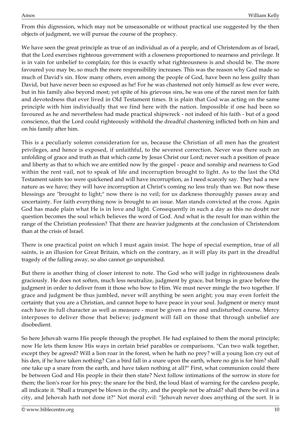From this digression, which may not be unseasonable or without practical use suggested by the then objects of judgment, we will pursue the course of the prophecy.

We have seen the great principle as true of an individual as of a people, and of Christendom as of Israel, that the Lord exercises righteous government with a closeness proportioned to nearness and privilege. It is in vain for unbelief to complain; for this is exactly what righteousness is and should be. The more favoured you may be, so much the more responsibility increases. This was the reason why God made so much of David's sin. How many others, even among the people of God, have been no less guilty than David, but have never been so exposed as he! For he was chastened not only himself as few ever were, but in his family also beyond most; yet spite of his grievous sins, he was one of the rarest men for faith and devotedness that ever lived in Old Testament times. It is plain that God was acting on the same principle with him individually that we find here with the nation. Impossible if one had been so favoured as he and nevertheless had made practical shipwreck - not indeed of his faith - but of a good conscience, that the Lord could righteously withhold the dreadful chastening inflicted both on him and on his family after him.

This is a peculiarly solemn consideration for us, because the Christian of all men has the greatest privileges, and hence is exposed, if unfaithful, to the severest correction. Never was there such an unfolding of grace and truth as that which came by Jesus Christ our Lord; never such a position of peace and liberty as that to which we are entitled now by the gospel - peace and sonship and nearness to God within the rent vail, not to speak of life and incorruption brought to light. As to the last the Old Testament saints too were quickened and will have incorruption, as I need scarcely say. They had a new nature as we have; they will have incorruption at Christ's coming no less truly than we. But now these blessings are "brought to light;" now there is no veil; for us darkness thoroughly passes away and uncertainty. For faith everything now is brought to an issue. Man stands convicted at the cross. Again God has made plain what He is in love and light. Consequently in such a day as this no doubt nor question becomes the soul which believes the word of God. And what is the result for man within the range of the Christian profession? That there are heavier judgments at the conclusion of Christendom than at the crisis of Israel.

There is one practical point on which I must again insist. The hope of special exemption, true of all saints, is an illusion for Great Britain, which on the contrary, as it will play its part in the dreadful tragedy of the falling away, so also cannot go unpunished.

But there is another thing of closer interest to note. The God who will judge in righteousness deals graciously. He does not soften, much less neutralize, judgment by grace, but brings in grace before the judgment in order to deliver from it those who bow to Him. We must never mingle the two together. If grace and judgment be thus jumbled, never will anything be seen aright; you may even forfeit the certainty that you are a Christian, and cannot hope to have peace in your soul. Judgment or mercy must each have its full character as well as measure - must be given a free and undisturbed course. Mercy interposes to deliver those that believe; judgment will fall on those that through unbelief are disobedient.

So here Jehovah warns His people through the prophet. He had explained to them the moral principle; now He lets them know His ways in certain brief parables or comparisons. "Can two walk together, except they be agreed? Will a lion roar in the forest, when he hath no prey? will a young lion cry out of his den, if he have taken nothing? Can a bird fall in a snare upon the earth, where no gin is for him? shall one take up a snare from the earth, and have taken nothing at all?" First, what communion could there be between God and His people in their then state? Next follow intimations of the sorrow in store for them; the lion's roar for his prey; the snare for the bird, the loud blast of warning for the careless people, all indicate it. "Shall a trumpet be blown in the city, and the people not be afraid? shall there be evil in a city, and Jehovah hath not done it?" Not moral evil: "Jehovah never does anything of the sort. It is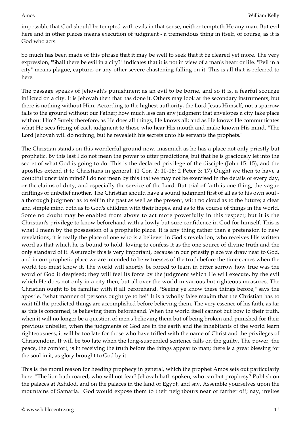impossible that God should be tempted with evils in that sense, neither tempteth He any man. But evil here and in other places means execution of judgment - a tremendous thing in itself, of course, as it is God who acts.

So much has been made of this phrase that it may be well to seek that it be cleared yet more. The very expression, "Shall there be evil in a city?" indicates that it is not in view of a man's heart or life. "Evil in a city" means plague, capture, or any other severe chastening falling on it. This is all that is referred to here.

The passage speaks of Jehovah's punishment as an evil to be borne, and so it is, a fearful scourge inflicted on a city. It is Jehovah then that has done it. Others may look at the secondary instruments; but there is nothing without Him. According to the highest authority, the Lord Jesus Himself, not a sparrow falls to the ground without our Father; how much less can any judgment that envelopes a city take place without Him? Surely therefore, as He does all things, He knows all; and as He knows He communicates what He sees fitting of each judgment to those who hear His mouth and make known His mind. "The Lord Jehovah will do nothing, but he revealeth his secrets unto his servants the prophets."

The Christian stands on this wonderful ground now, inasmuch as he has a place not only priestly but prophetic. By this last I do not mean the power to utter predictions, but that he is graciously let into the secret of what God is going to do. This is the declared privilege of the disciple (John 15: 15), and the apostles extend it to Christians in general. (1 Cor. 2: 10-16; 2 Peter 3: 17) Ought we then to have a doubtful uncertain mind? I do not mean by this that we may not be exercised in the details of every day, or the claims of duty, and especially the service of the Lord. But trial of faith is one thing; the vague driftings of unbelief another. The Christian should have a sound judgment first of all as to his own soul a thorough judgment as to self in the past as well as the present, with no cloud as to the future; a clear and simple mind both as to God's children with their hopes, and as to the course of things in the world. Some no doubt may be enabled from above to act more powerfully in this respect; but it is the Christian's privilege to know beforehand with a lowly but sure confidence in God for himself. This is what I mean by the possession of a prophetic place. It is any thing rather than a pretension to new revelations; it is really the place of one who is a believer in God's revelation, who receives His written word as that which he is bound to hold, loving to confess it as the one source of divine truth and the only standard of it. Assuredly this is very important, because in our priestly place we draw near to God, and in our prophetic place we are intended to be witnesses of the truth before the time comes when the world too must know it. The world will shortly be forced to learn in bitter sorrow how true was the word of God it despised; they will feel its force by the judgment which He will execute, by the evil which He does not only in a city then, but all over the world in various but righteous measures. The Christian ought to be familiar with it all beforehand. "Seeing ye know these things before," says the apostle, "what manner of persons ought ye to be!" It is a wholly false maxim that the Christian has to wait till the predicted things are accomplished before believing them. The very essence of his faith, as far as this is concerned, is believing them beforehand. When the world itself cannot but bow to their truth, when it will no longer be a question of men's believing them but of being broken and punished for their previous unbelief, when the judgments of God are in the earth and the inhabitants of the world learn righteousness, it will be too late for those who have trifled with the name of Christ and the privileges of Christendom. It will be too late when the long-suspended sentence falls on the guilty. The power, the peace, the comfort, is in receiving the truth before the things appear to man; there is a great blessing for the soul in it, as glory brought to God by it.

This is the moral reason for heeding prophecy in general, which the prophet Amos sets out particularly here. "The lion hath roared, who will not fear? Jehovah hath spoken, who can but prophesy? Publish on the palaces at Ashdod, and on the palaces in the land of Egypt, and say, Assemble yourselves upon the mountains of Samaria." God would expose them to their neighbours near or farther off; nay, invites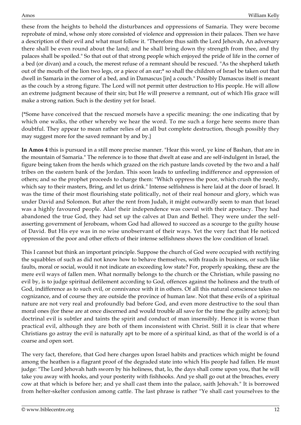these from the heights to behold the disturbances and oppressions of Samaria. They were become reprobate of mind, whose only store consisted of violence and oppression in their palaces. Then we have a description of their evil and what must follow it. "Therefore thus saith the Lord Jehovah, An adversary there shall be even round about the land; and he shall bring down thy strength from thee, and thy palaces shall be spoiled." So that out of that strong people which enjoyed the pride of life in the corner of a bed (or divan) and a couch, the merest refuse of a remnant should be rescued. "As the shepherd taketh out of the mouth of the lion two legs, or a piece of an ear;\* so shall the children of Israel be taken out that dwell in Samaria in the corner of a bed, and in Damascus [in] a couch." Possibly Damascus itself is meant as the couch by a strong figure. The Lord will not permit utter destruction to His people. He will allow an extreme judgment because of their sin; but He will preserve a remnant, out of which His grace will make a strong nation. Such is the destiny yet for Israel.

{\*Some have conceived that the rescued morsels have a specific meaning: the one indicating that by which one walks, the other whereby we hear the word. To me such a forge here seems more than doubtful. They appear to mean rather relies of an all but complete destruction, though possibly they may suggest more for the saved remnant by and by.}

**In Amos 4** this is pursued in a still more precise manner. "Hear this word, ye kine of Bashan, that are in the mountain of Samaria." The reference is to those that dwelt at ease and are self-indulgent in Israel, the figure being taken from the herds which grazed on the rich pasture lands coveted by the two and a half tribes on the eastern bank of the Jordan. This soon leads to unfeeling indifference and oppression of others; and so the prophet proceeds to charge them: "Which oppress the poor, which crush the needy, which say to their masters, Bring, and let us drink." Intense selfishness is here laid at the door of Israel. It was the time of their most flourishing state politically, not of their real honour and glory, which was under David and Solomon. But after the rent from Judah, it might outwardly seem to man that Israel was a highly favoured people. Alas! their independence was coeval with their apostacy. They had abandoned the true God, they had set up the calves at Dan and Bethel. They were under the selfasserting government of Jeroboam, whom God had allowed to succeed as a scourge to the guilty house of David. But His eye was in no wise unobservant of their ways. Yet the very fact that He noticed oppression of the poor and other effects of their intense selfishness shows the low condition of Israel.

This I cannot but think an important principle. Suppose the church of God were occupied with rectifying the squabbles of such as did not know how to behave themselves, with frauds in business, or such like faults, moral or social, would it not indicate an exceeding low state? For, properly speaking, these are the mere evil ways of fallen men. What normally belongs to the church or the Christian, while passing no evil by, is to judge spiritual defilement according to God, offences against the holiness and the truth of God, indifference as to such evil, or connivance with it in others. Of all this natural conscience takes no cognizance, and of course they are outside the province of human law. Not that these evils of a spiritual nature are not very real and profoundly bad before God, and even more destructive to the soul than moral ones (for these are at once discerned and would trouble all save for the time the guilty actors); but doctrinal evil is subtler and taints the spirit and conduct of man insensibly. Hence it is worse than practical evil, although they are both of them inconsistent with Christ. Still it is clear that where Christians go astray the evil is naturally apt to be more of a spiritual kind, as that of the world is of a coarse and open sort.

The very fact, therefore, that God here charges upon Israel habits and practices which might be found among the heathen is a flagrant proof of the degraded state into which His people had fallen. He must judge: "The Lord Jehovah hath sworn by his holiness, that, lo, the days shall come upon you, that he will take you away with hooks, and your posterity with fishhooks. And ye shall go out at the breaches, every cow at that which is before her; and ye shall cast them into the palace, saith Jehovah." It is borrowed from helter-skelter confusion among cattle. The last phrase is rather "Ye shall cast yourselves to the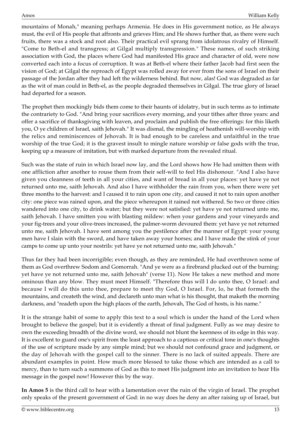mountains of Monah," meaning perhaps Armenia. He does in His government notice, as He always must, the evil of His people that affronts and grieves Him; and He shows further that, as there were such fruits, there was a stock and root also. Their practical evil sprang from idolatrous rivalry of Himself. "Come to Beth-el and transgress; at Gilgal multiply transgression." These names, of such striking association with God, the places where God had manifested His grace and character of old, were now converted each into a focus of corruption. It was at Beth-el where their father Jacob had first seen the vision of God; at Gilgal the reproach of Egypt was rolled away for ever from the sons of Israel on their passage of the Jordan after they had left the wilderness behind. But now, alas! God was degraded as far as the wit of man could in Beth-el, as the people degraded themselves in Gilgal. The true glory of Israel had departed for a season.

The prophet then mockingly bids them come to their haunts of idolatry, but in such terms as to intimate the contrariety to God. "And bring your sacrifices every morning, and your tithes after three years: and offer a sacrifice of thanksgiving with leaven, and proclaim and publish the free offerings: for this liketh you, O ye children of Israel, saith Jehovah." It was dismal, the mingling of heathenish will-worship with the relics and reminiscences of Jehovah. It is bad enough to be careless and unfaithful in the true worship of the true God; it is the gravest insult to mingle nature worship or false gods with the true, keeping up a measure of imitation, but with marked departure from the revealed ritual.

Such was the state of ruin in which Israel now lay, and the Lord shows how He had smitten them with one affliction after another to rouse them from their self-will to feel His dishonour. "And I also have given you cleanness of teeth in all your cities, and want of bread in all your places: yet have ye not returned unto me, saith Jehovah. And also I have withholder the rain from you, when there were yet three months to the harvest: and I caused it to rain upon one city, and caused it not to rain upon another city: one piece was rained upon, and the piece whereupon it rained not withered. So two or three cities wandered into one city, to drink water; but they were not satisfied: yet have ye not returned unto me, saith Jehovah. I have smitten you with blasting mildew: when your gardens and your vineyards and your fig-trees and your olive-trees increased, the palmer-worm devoured them: yet have ye not returned unto me, saith Jehovah. I have sent among you the pestilence after the manner of Egypt: your young men have I slain with the sword, and have taken away your horses; and I have made the stink of your camps to come up unto your nostrils: yet have ye not returned unto me, saith Jehovah."

Thus far they had been incorrigible; even though, as they are reminded, He had overthrown some of them as God overthrew Sodom and Gomorrah. "And ye were as a firebrand plucked out of the burning: yet have ye not returned unto me, saith Jehovah" (verse 11). Now He takes a new method and more ominous than any blow. They must meet Himself. "Therefore thus will I do unto thee, O Israel: and because I will do this unto thee, prepare to meet thy God, O Israel. For, lo, he that formeth the mountains, and createth the wind, and declareth unto man what is his thought, that maketh the morning darkness, and "readeth upon the high places of the earth, Jehovah, The God of hosts, is his name."

It is the strange habit of some to apply this text to a soul which is under the hand of the Lord when brought to believe the gospel; but it is evidently a threat of final judgment. Fully as we may desire to own the exceeding breadth of the divine word, we should not blunt the keenness of its edge in this way. It is excellent to guard one's spirit from the least approach to a captious or critical tone in one's thoughts of the use of scripture made by any simple mind; but we should not confound grace and judgment, or the day of Jehovah with the gospel call to the sinner. There is no lack of suited appeals. There are abundant examples in point. How much more blessed to take those which are intended as a call to mercy, than to turn such a summons of God as this to meet His judgment into an invitation to hear His message in the gospel now! However this by the way.

**In Amos 5** is the third call to hear with a lamentation over the ruin of the virgin of Israel. The prophet only speaks of the present government of God: in no way does he deny an after raising up of Israel, but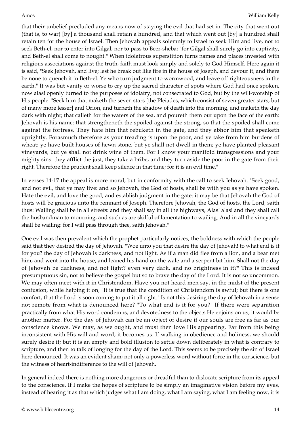that their unbelief precluded any means now of staying the evil that had set in. The city that went out (that is, to war) [by] a thousand shall retain a hundred, and that which went out [by] a hundred shall retain ten for the house of Israel. Then Jehovah appeals solemnly to Israel to seek Him and live, not to seek Beth-el, nor to enter into Gilgal, nor to pass to Beer-sheba; "for Gilgal shall surely go into captivity, and Beth-el shall come to nought." When idolatrous superstition turns names and places invested with religious associations against the truth, faith must look simply and solely to God Himself. Here again it is said, "Seek Jehovah, and live; lest he break out like fire in the house of Joseph, and devour it, and there be none to quench it in Beth-el. Ye who turn judgment to wormwood, and leave off righteousness in the earth." It was but vanity or worse to cry up the sacred character of spots where God had once spoken, now alas! openly turned to the purposes of idolatry, not consecrated to God, but by the will-worship of His people. "Seek him that maketh the seven stars [the Pleiades, which consist of seven greater stars, but of many more lesser] and Orion, and turneth the shadow of death into the morning, and maketh the day dark with night; that calleth for the waters of the sea, and poureth them out upon the face of the earth: Jehovah is his name: that strengtheneth the spoiled against the strong, so that the spoiled shall come against the fortress. They hate him that rebuketh in the gate, and they abhor him that speaketh uprightly. Forasmuch therefore as your treading is upon the poor, and ye take from him burdens of wheat: ye have built houses of hewn stone, but ye shall not dwell in them; ye have planted pleasant vineyards, but ye shall not drink wine of them. For I know your manifold transgressions and your mighty sins: they afflict the just, they take a bribe, and they turn aside the poor in the gate from their right. Therefore the prudent shall keep silence in that time; for it is an evil time."

In verses 14-17 the appeal is more moral, but in conformity with the call to seek Jehovah. "Seek good, and not evil, that ye may live: and so Jehovah, the God of hosts, shall be with you as ye have spoken. Hate the evil, and love the good, and establish judgment in the gate: it may be that Jehovah the God of hosts will be gracious unto the remnant of Joseph. Therefore Jehovah, the God of hosts, the Lord, saith thus: Wailing shall be in all streets: and they shall say in all the highways, Alas! alas! and they shall call the husbandman to mourning, and such as are skilful of lamentation to wailing. And in all the vineyards shall be wailing: for I will pass through thee, saith Jehovah."

One evil was then prevalent which the prophet particularly notices, the boldness with which the people said that they desired the day of Jehovah. "Woe unto you that desire the day of Jehovah! to what end is it for you? the day of Jehovah is darkness, and not light. As if a man did flee from a lion, and a bear met him; and went into the house, and leaned his hand on the wale and a serpent bit him. Shall not the day of Jehovah be darkness, and not light? even very dark, and no brightness in it?" This is indeed presumptuous sin, not to believe the gospel but so to brave the day of the Lord. It is not so uncommon. We may often meet with it in Christendom. Have you not heard men say, in the midst of the present confusion, while helping it on, "It is true that the condition of Christendom is awful; but there is one comfort, that the Lord is soon coming to put it all right." Is not this desiring the day of Jehovah in a sense not remote from what is denounced here? "To what end is it for you?" If there were separation practically from what His word condemns, and devotedness to the objects He enjoins on us, it would be another matter. For the day of Jehovah can be an object of desire if our souls are free as far as our conscience knows. We may, as we ought, and must then love His appearing. Far from this being inconsistent with His will and word, it becomes us. If walking in obedience and holiness, we should surely desire it; but it is an empty and bold illusion to settle down deliberately in what is contrary to scripture, and then to talk of longing for the day of the Lord. This seems to be precisely the sin of Israel here denounced. It was an evident sham; not only a powerless word without force in the conscience, but the witness of heart-indifference to the will of Jehovah.

In general indeed there is nothing more dangerous or dreadful than to dislocate scripture from its appeal to the conscience. If I make the hopes of scripture to be simply an imaginative vision before my eyes, instead of hearing it as that which judges what I am doing, what I am saying, what I am feeling now, it is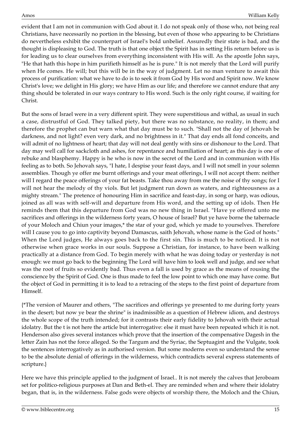evident that I am not in communion with God about it. I do not speak only of those who, not being real Christians, have necessarily no portion in the blessing, but even of those who appearing to be Christians do nevertheless exhibit the counterpart of Israel's bold unbelief. Assuredly their state is bad, and the thought is displeasing to God. The truth is that one object the Spirit has in setting His return before us is for leading us to clear ourselves from everything inconsistent with His will. As the apostle John says, "He that hath this hope in him purifieth himself as he is pure." It is not merely that the Lord will purify when He comes. He will; but this will be in the way of judgment. Let no man venture to await this process of purification: what we have to do is to seek it from God by His word and Spirit now. We know Christ's love; we delight in His glory; we have Him as our life; and therefore we cannot endure that any thing should be tolerated in our ways contrary to His word. Such is the only right course, if waiting for Christ.

But the sons of Israel were in a very different spirit. They were superstitious and withal, as usual in such a case, distrustful of God. They talked piety, but there was no substance, no reality, in them; and therefore the prophet can but warn what that day must be to such. "Shall not the day of Jehovah be darkness, and not light? even very dark, and no brightness in it." That day ends all fond conceits, and will admit of no lightness of heart; that day will not deal gently with sins or dishonour to the Lord. That day may well call for sackcloth and ashes, for repentance and humiliation of heart; as this day is one of rebuke and blasphemy. Happy is he who is now in the secret of the Lord and in communion with His feeling as to both. So Jehovah says, "I hate, I despise your feast days, and I will not smell in your solemn assemblies. Though ye offer me burnt offerings and your meat offerings, I will not accept them: neither will I regard the peace offerings of your fat beasts. Take thou away from me the noise of thy songs; for I will not hear the melody of thy viols. But let judgment run down as waters, and righteousness as a mighty stream." The pretence of honouring Him in sacrifice and feast-day, in song or harp, was odious, joined as all was with self-will and departure from His word, and the setting up of idols. Then He reminds them that this departure from God was no new thing in Israel. "Have ye offered unto me sacrifices and offerings in the wilderness forty years, O house of Israel? But ye have borne the tabernacle of your Moloch and Chiun your images,\* the star of your god, which ye made to yourselves. Therefore will I cause you to go into captivity beyond Damascus, saith Jehovah, whose name is the God of hosts." When the Lord judges, He always goes back to the first sin. This is much to be noticed. It is not otherwise when grace works in our souls. Suppose a Christian, for instance, to have been walking practically at a distance from God. To begin merely with what he was doing today or yesterday is not enough: we must go back to the beginning The Lord will have him to look well and judge, and see what was the root of fruits so evidently bad. Thus even a fall is used by grace as the means of rousing the conscience by the Spirit of God. One is thus made to feel the low point to which one may have come. But the object of God in permitting it is to lead to a retracing of the steps to the first point of departure from Himself.

{\*The version of Maurer and others, "The sacrifices and offerings ye presented to me during forty years in the desert; but now ye bear the shrine" is inadmissible as a question of Hebrew idiom, and destroys the whole scope of the truth intended; for it contrasts their early fidelity to Jehovah with their actual idolatry. But the t is not here the article but interrogative: else it must have been repeated which it is not. Henderson also gives several instances which prove that the insertion of the compensative Dagesh in the letter Zain has not the force alleged. So the Targum and the Syriac, the Septuagint and the Vulgate, took the sentences interrogatively as in authorised version. But some moderns even so understand the sense to be the absolute denial of offerings in the wilderness, which contradicts several express statements of scripture.}

Here we have this principle applied to the judgment of Israel.. It is not merely the calves that Jeroboam set for politico-religious purposes at Dan and Beth-el. They are reminded when and where their idolatry began, that is, in the wilderness. False gods were objects of worship there, the Moloch and the Chiun,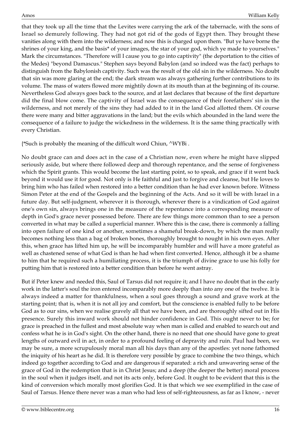that they took up all the time that the Levites were carrying the ark of the tabernacle, with the sons of Israel so demurely following. They had not got rid of the gods of Egypt then. They brought these vanities along with them into the wilderness; and now this is charged upon them. "But ye have borne the shrines of your king, and the basis\* of your images, the star of your god, which ye made to yourselves." Mark the circumstances. "Therefore will I cause you to go into captivity" (the deportation to the cities of the Medes) "beyond Damascus." Stephen says beyond Babylon (and so indeed was the fact) perhaps to distinguish from the Babylonish captivity. Such was the result of the old sin in the wilderness. No doubt that sin was more glaring at the end; the dark stream was always gathering further contributions to its volume. The mass of waters flowed more mightily down at its mouth than at the beginning of its course. Nevertheless God always goes back to the source, and at last declares that because of the first departure did the final blow come. The captivity of Israel was the consequence of their forefathers' sin in the wilderness, and not merely of the sins they had added to it in the land God allotted them. Of course there were many and bitter aggravations in the land; but the evils which abounded in the land were the consequence of a failure to judge the wickedness in the wilderness. It is the same thing practically with every Christian.

{\*Such is probably the meaning of the difficult word Chiun, ^WYBi .

No doubt grace can and does act in the case of a Christian now, even where he might have slipped seriously aside, but where there followed deep and thorough repentance, and the sense of forgiveness which the Spirit grants. This would become the last starting point, so to speak, and grace if it went back beyond it would use it for good. Not only is He faithful and just to forgive and cleanse, but He loves to bring him who has failed when restored into a better condition than he had ever known before. Witness Simon Peter at the end of the Gospels and the beginning of the Acts. And so it will be with Israel in a future day. But self-judgment, wherever it is thorough, wherever there is a vindication of God against one's own sin, always brings one in the measure of the repentance into a corresponding measure of depth in God's grace never possessed before. There are few things more common than to see a person converted in what may be called a superficial manner. Where this is the case, there is commonly a falling into open failure of one kind or another, sometimes a shameful break-down, by which the man really becomes nothing less than a bag of broken bones, thoroughly brought to nought in his own eyes. After this, when grace has lifted him up, he will be incomparably humbler and will have a more grateful as well as chastened sense of what God is than he had when first converted. Hence, although it be a shame to him that he required such a humiliating process, it is the triumph of divine grace to use his folly for putting him that is restored into a better condition than before he went astray.

But if Peter knew and needed this, Saul of Tarsus did not require it; and I have no doubt that in the early work in the latter's soul the iron entered incomparably more deeply than into any one of the twelve. It is always indeed a matter for thankfulness, when a soul goes through a sound and grave work at the starting point; that is, when it is not all joy and comfort, but the conscience is enabled fully to be before God as to our sins, when we realise gravely all that we have been, and are thoroughly sifted out in His presence. Surely this inward work should not hinder confidence in God. This ought never to be; for grace is preached in the fullest and most absolute way when man is called and enabled to search out and confess what he is in God's sight. On the other hand, there is no need that one should have gone to great lengths of outward evil in act, in order to a profound feeling of depravity and ruin. Paul had been, we may be sure, a more scrupulously moral man all his days than any of the apostles: yet none fathomed the iniquity of his heart as he did. It is therefore very possible by grace to combine the two things, which indeed go together according to God and are dangerous if separated: a rich and unwavering sense of the grace of God in the redemption that is in Christ Jesus; and a deep (the deeper the better) moral process in the soul when it judges itself, and not its acts only, before God. It ought to be evident that this is the kind of conversion which morally most glorifies God. It is that which we see exemplified in the case of Saul of Tarsus. Hence there never was a man who had less of self-righteousness, as far as I know, - never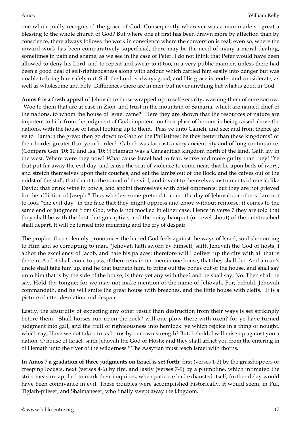one who equally recognised the grace of God. Consequently wherever was a man made so great a blessing to the whole church of God? But where one at first has been drawn more by affection than by conscience, there always follows the work in conscience where the conversion is real; even so, where the inward work has been comparatively superficial, there may be the need of many a moral dealing, sometimes in pain and shame, as we see in the case of Peter. I do not think that Peter would have been allowed to deny his Lord, and to repeat and swear to it too, in a very public manner, unless there had been a good deal of self-righteousness along with ardour which carried him easily into danger but was unable to bring him safely out. Still the Lord is always good, and His grace is tender and considerate, as well as wholesome and holy. Differences there are in men; but never anything but what is good in God.

**Amos 6 is a fresh appeal** of Jehovah to those wrapped up in self-security, warning them of sure sorrow. "Woe to them that are at ease in Zion, and trust in the mountain of Samaria, which are named chief of the nations, to whom the house of Israel came?" Here they are shown that the resources of nature are impotent to hide from the judgment of God; impotent too their place of honour in being raised above the nations, with the house of Israel looking up to them. "Pass ye unto Calneh, and see; and from thence go ye to Hamath the great: then go down to Gath of the Philistines: be they better than these kingdoms? or their border greater than your border?" Calneh was far east, a very ancient city and of long continuance. (Compare Gen. 10: 10 and Isa. 10: 9) Hamath was a Canaanitish kingdom north of the land. Gath lay in the west. Where were they now? What cause Israel had to fear, worse and more guilty than they! "Ye that put far away the evil day, and cause the seat of violence to come near; that lie upon beds of ivory, and stretch themselves upon their couches, and eat the lambs out of the flock, and the calves out of the midst of the stall; that chant to the sound of the viol, and invent to themselves instruments of music, like David; that drink wine in bowls, and anoint themselves with chief ointments: but they are not grieved for the affliction of Joseph." Thus whether some pretend to court the day of Jehovah, or others dare not to look "the evil day" in the face that they might oppress and enjoy without remorse, it comes to the same end of judgment from God, who is not mocked in either case. Hence in verse 7 they are told that they shall be with the first that go captive, and the noisy banquet (or revel shout) of the outstretched shall depart. It will be turned into mourning and the cry of despair.

The prophet then solemnly pronounces the hatred God feels against the ways of Israel, so dishonouring to Him and so corrupting to man. "Jehovah hath sworn by himself, saith Jehovah the God of hosts, I abhor the excellency of Jacob, and hate his palaces: therefore will I deliver up the city with all that is therein. And it shall come to pass, if there remain ten men in one house, that they shall die. And a man's uncle shall take him up, and he that burneth him, to bring out the bones out of the house, and shall say unto him that is by the side of the house, Is there yet any with thee? and he shall say, No. Then shall he say, Hold thy tongue; for we may not make mention of the name of Jehovah. For, behold, Jehovah commandeth, and he will smite the great house with breaches, and the little house with clefts." It is a picture of utter desolation and despair.

Lastly, the absurdity of expecting any other result than destruction from their ways is set strikingly before them. "Shall horses run upon the rock? will one plow there with oxen? for ye have turned judgment into gall, and the fruit of righteousness into hemlock: ye which rejoice in a thing of nought, which say, Have we not taken to us horns by our own strength? But, behold, I will raise up against you a nation, O house of Israel, saith Jehovah the God of Hosts; and they shall afflict you from the entering in of Hemath unto the river of the wilderness." The Assyrian must teach Israel with thorns.

**In Amos 7 a gradation of three judgments on Israel is set forth:** first (verses 1-3) by the grasshoppers or creeping locusts, next (verses 4-6) by fire, and lastly (verses 7-9) by a plumbline, which intimated the strict measure applied to mark their iniquities; when patience had exhausted itself, further delay would have been connivance in evil. These troubles were accomplished historically, it would seem, in Pul, Tiglath-pileser, and Shalmaneser, who finally swept away the kingdom.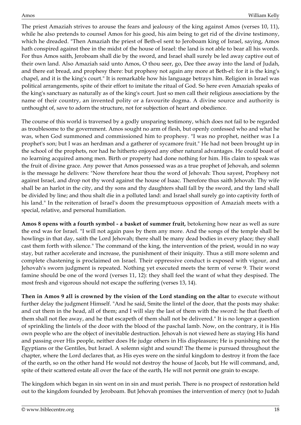The priest Amaziah strives to arouse the fears and jealousy of the king against Amos (verses 10, 11), while he also pretends to counsel Amos for his good, his aim being to get rid of the divine testimony, which he dreaded. "Then Amaziah the priest of Beth-el sent to Jeroboam king of Israel, saying, Amos hath conspired against thee in the midst of the house of Israel: the land is not able to bear all his words. For thus Amos saith, Jeroboam shall die by the sword, and Israel shall surely be led away captive out of their own land. Also Amaziah said unto Amos, O thou seer, go, Dee thee away into the land of Judah, and there eat bread, and prophesy there: but prophesy not again any more at Beth-el: for it is the king's chapel, and it is the king's court." It is remarkable how his language betrays him. Religion in Israel was political arrangements, spite of their effort to imitate the ritual of God. So here even Amaziah speaks of the king's sanctuary as naturally as of the king's court. Just so men call their religious associations by the name of their country, an invented polity or a favourite dogma. A divine source and authority is unthought of, save to adorn the structure, not for subjection of heart and obedience.

The course of this world is traversed by a godly unsparing testimony, which does not fail to be regarded as troublesome to the government. Amos sought no arm of flesh, but openly confessed who and what he was, when God summoned and commissioned him to prophesy. "I was no prophet, neither was I a prophet's son; but I was an herdman and a gatherer of sycamore fruit." He had not been brought up in the school of the prophets, nor had he hitherto enjoyed any other natural advantages. He could boast of no learning acquired among men. Birth or property had done nothing for him. His claim to speak was the fruit of divine grace. Any power that Amos possessed was as a true prophet of Jehovah, and solemn is the message he delivers: "Now therefore hear thou the word of Jehovah: Thou sayest, Prophesy not against Israel, and drop not thy word against the house of Isaac. Therefore thus saith Jehovah: Thy wife shall be an harlot in the city, and thy sons and thy daughters shall fall by the sword, and thy land shall be divided by line; and thou shalt die in a polluted land: and Israel shall surely go into captivity forth of his land." In the reiteration of Israel's doom the presumptuous opposition of Amaziah meets with a special, relative, and personal humiliation.

**Amos 8 opens with a fourth symbol - a basket of summer fruit,** betokening how near as well as sure the end was for Israel. "I will not again pass by them any more. And the songs of the temple shall be howlings in that day, saith the Lord Jehovah; there shall be many dead bodies in every place; they shall cast them forth with silence." The command of the king, the intervention of the priest, would in no way stay, but rather accelerate and increase, the punishment of their iniquity. Thus a still more solemn and complete chastening is proclaimed on Israel. Their oppressive conduct is exposed with vigour, and Jehovah's sworn judgment is repeated. Nothing yet executed meets the term of verse 9. Their worst famine should be one of the word (verses 11, 12): they shall feel the want of what they despised. The most fresh and vigorous should not escape the suffering (verses 13, 14).

**Then in Amos 9 all is crowned by the vision of the Lord standing on the altar** to execute without further delay the judgment Himself. "And he said, Smite the lintel of the door, that the posts may shake: and cut them in the head, all of them; and I will slay the last of them with the sword: he that fleeth of them shall not flee away, and he that escapeth of them shall not be delivered." It is no longer a question of sprinkling the lintels of the door with the blood of the paschal lamb. Now, on the contrary, it is His own people who are the object of inevitable destruction. Jehovah is not viewed here as staying His hand and passing over His people, neither does He judge others in His displeasure; He is punishing not the Egyptians or the Gentiles, but Israel. A solemn sight and sound! The theme is pursued throughout the chapter, where the Lord declares that, as His eyes were on the sinful kingdom to destroy it from the face of the earth, so on the other hand He would not destroy the house of Jacob, but He will command, and, spite of their scattered estate all over the face of the earth, He will not permit one grain to escape.

The kingdom which began in sin went on in sin and must perish. There is no prospect of restoration held out to the kingdom founded by Jeroboam. But Jehovah promises the intervention of mercy (not to Judah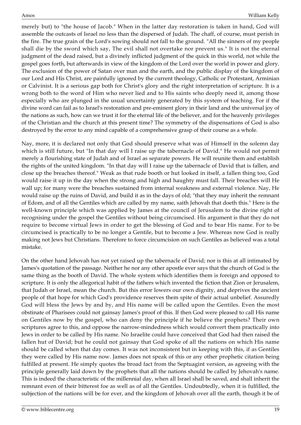merely but) to "the house of Jacob." When in the latter day restoration is taken in hand, God will assemble the outcasts of Israel no less than the dispersed of Judah. The chaff, of course, must perish in the fire. The true grain of the Lord's sowing should not fall to the ground. "All the sinners of my people shall die by the sword which say, The evil shall not overtake nor prevent us." It is not the eternal judgment of the dead raised, but a divinely inflicted judgment of the quick in this world, not while the gospel goes forth, but afterwards in view of the kingdom of the Lord over the world in power and glory. The exclusion of the power of Satan over man and the earth, and the public display of the kingdom of our Lord and His Christ, are painfully ignored by the current theology, Catholic or Protestant, Arminian or Calvinist. It is a serious gap both for Christ's glory and the right interpretation of scripture. It is a wrong both to the word of Him who never lied and to His saints who deeply need it, among those especially who are plunged in the usual uncertainty generated by this system of teaching. For if the divine word can fail as to Israel's restoration and pre-eminent glory in their land and the universal joy of the nations as such, how can we trust it for the eternal life of the believer, and for the heavenly privileges of the Christian and the church at this present time? The symmetry of the dispensations of God is also destroyed by the error to any mind capable of a comprehensive grasp of their course as a whole.

Nay, more, it is declared not only that God should preserve what was of Himself in the solemn day which is still future, but "In that day will I raise up the tabernacle of David." He would not permit merely a flourishing state of Judah and of Israel as separate powers. He will reunite them and establish the rights of the united kingdom. "In that day will I raise up the tabernacle of David that is fallen, and close up the breaches thereof." Weak as that rude booth or hut looked in itself, a fallen thing too, God would raise it up in the day when the strong and high and haughty must fall. Their breaches will He wall up; for many were the breaches sustained from internal weakness and external violence. Nay, He would raise up the ruins of David, and build it as in the days of old; "that they may inherit the remnant of Edom, and of all the Gentiles which are called by my name, saith Jehovah that doeth this." Here is the well-known principle which was applied by James at the council of Jerusalem to the divine right of recognising under the gospel the Gentiles without being circumcised. His argument is that they do not require to become virtual Jews in order to get the blessing of God and to bear His name. For to be circumcised is practically to be no longer a Gentile, but to become a Jew. Whereas now God is really making not Jews but Christians. Therefore to force circumcision on such Gentiles as believed was a total mistake.

On the other hand Jehovah has not yet raised up the tabernacle of David; nor is this at all intimated by James's quotation of the passage. Neither he nor any other apostle ever says that the church of God is the same thing as the booth of David. The whole system which identifies them is foreign and opposed to scripture. It is only the allegorical habit of the fathers which invented the fiction that Zion or Jerusalem, that Judah or Israel, mean the church. But this error lowers our own dignity, and deprives the ancient people of that hope for which God's providence reserves them spite of their actual unbelief. Assuredly God will bless the Jews by and by, and His name will be called upon the Gentiles. Even the most obstinate of Pharisees could not gainsay James's proof of this. If then God were pleased to call His name on Gentiles now by the gospel, who can deny the principle if he believe the prophets? Their own scriptures agree to this, and oppose the narrow-mindedness which would convert them practically into Jews in order to be called by His name. No Israelite could have conceived that God had then raised the fallen hut of David; but he could not gainsay that God spoke of all the nations on which His name should be called when that day comes. It was not inconsistent but in keeping with this, if as Gentiles they were called by His name now. James does not speak of this or any other prophetic citation being fulfilled at present. He simply quotes the broad fact from the Septuagint version, as agreeing with the principle generally laid down by the prophets that all the nations should be called by Jehovah's name. This is indeed the characteristic of the millennial day, when all Israel shall be saved, and shall inherit the remnant even of their bitterest foe as well as of all the Gentiles. Undoubtedly, when it is fulfilled, the subjection of the nations will be for ever, and the kingdom of Jehovah over all the earth, though it be of